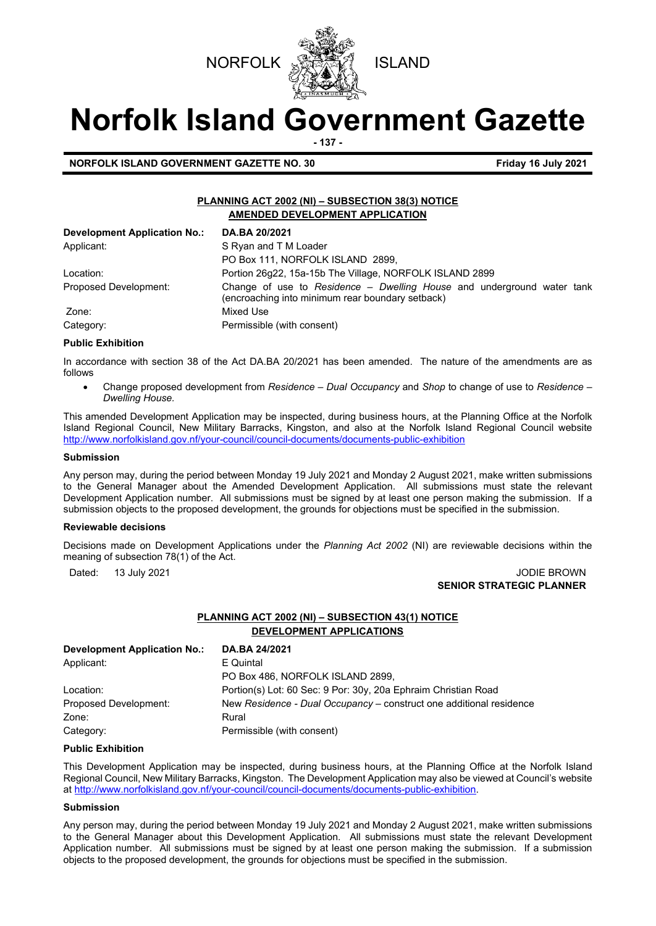



# **Norfolk Island Government Gazette**

**- 137 -**

**NORFOLK ISLAND GOVERNMENT GAZETTE NO. 30 Friday 16 July 2021** 

# **PLANNING ACT 2002 (NI) – SUBSECTION 38(3) NOTICE AMENDED DEVELOPMENT APPLICATION**

| Development Application No.: | DA.BA 20/2021                                                                                                              |  |  |  |
|------------------------------|----------------------------------------------------------------------------------------------------------------------------|--|--|--|
| Applicant:                   | S Ryan and T M Loader                                                                                                      |  |  |  |
|                              | PO Box 111, NORFOLK ISLAND 2899,                                                                                           |  |  |  |
| Location:                    | Portion 26q22, 15a-15b The Village, NORFOLK ISLAND 2899                                                                    |  |  |  |
| Proposed Development:        | Change of use to Residence – Dwelling House and underground water tank<br>(encroaching into minimum rear boundary setback) |  |  |  |
| Zone:                        | Mixed Use                                                                                                                  |  |  |  |
| Category:                    | Permissible (with consent)                                                                                                 |  |  |  |

#### **Public Exhibition**

In accordance with section 38 of the Act DA.BA 20/2021 has been amended. The nature of the amendments are as follows

• Change proposed development from *Residence – Dual Occupancy* and *Shop* to change of use to *Residence – Dwelling House.*

This amended Development Application may be inspected, during business hours, at the Planning Office at the Norfolk Island Regional Council, New Military Barracks, Kingston, and also at the Norfolk Island Regional Council website <http://www.norfolkisland.gov.nf/your-council/council-documents/documents-public-exhibition>

#### **Submission**

Any person may, during the period between Monday 19 July 2021 and Monday 2 August 2021, make written submissions to the General Manager about the Amended Development Application. All submissions must state the relevant Development Application number. All submissions must be signed by at least one person making the submission. If a submission objects to the proposed development, the grounds for objections must be specified in the submission.

# **Reviewable decisions**

Decisions made on Development Applications under the *Planning Act 2002* (NI) are reviewable decisions within the meaning of subsection 78(1) of the Act.

#### Dated: 13 July 2021 2002 12:00 12:00 12:00 12:00 12:00 12:00 12:00 12:00 12:00 12:00 12:00 12:00 12:00 12:00 12:00 12:00 12:00 12:00 12:00 12:00 12:00 12:00 12:00 12:00 12:00 12:00 12:00 12:00 12:00 12:00 12:00 12:00 12:00 **SENIOR STRATEGIC PLANNER**

# **PLANNING ACT 2002 (NI) – SUBSECTION 43(1) NOTICE DEVELOPMENT APPLICATIONS**

| <b>Development Application No.:</b> | DA.BA 24/2021                                                       |  |  |
|-------------------------------------|---------------------------------------------------------------------|--|--|
| Applicant:                          | E Quintal                                                           |  |  |
|                                     | PO Box 486, NORFOLK ISLAND 2899,                                    |  |  |
| Location:                           | Portion(s) Lot: 60 Sec: 9 Por: 30y, 20a Ephraim Christian Road      |  |  |
| Proposed Development:               | New Residence - Dual Occupancy – construct one additional residence |  |  |
| Zone:                               | Rural                                                               |  |  |
| Category:                           | Permissible (with consent)                                          |  |  |

#### **Public Exhibition**

This Development Application may be inspected, during business hours, at the Planning Office at the Norfolk Island Regional Council, New Military Barracks, Kingston. The Development Application may also be viewed at Council's website a[t http://www.norfolkisland.gov.nf/your-council/council-documents/documents-public-exhibition.](http://www.norfolkisland.gov.nf/your-council/council-documents/documents-public-exhibition) 

#### **Submission**

Any person may, during the period between Monday 19 July 2021 and Monday 2 August 2021, make written submissions to the General Manager about this Development Application. All submissions must state the relevant Development Application number. All submissions must be signed by at least one person making the submission. If a submission objects to the proposed development, the grounds for objections must be specified in the submission.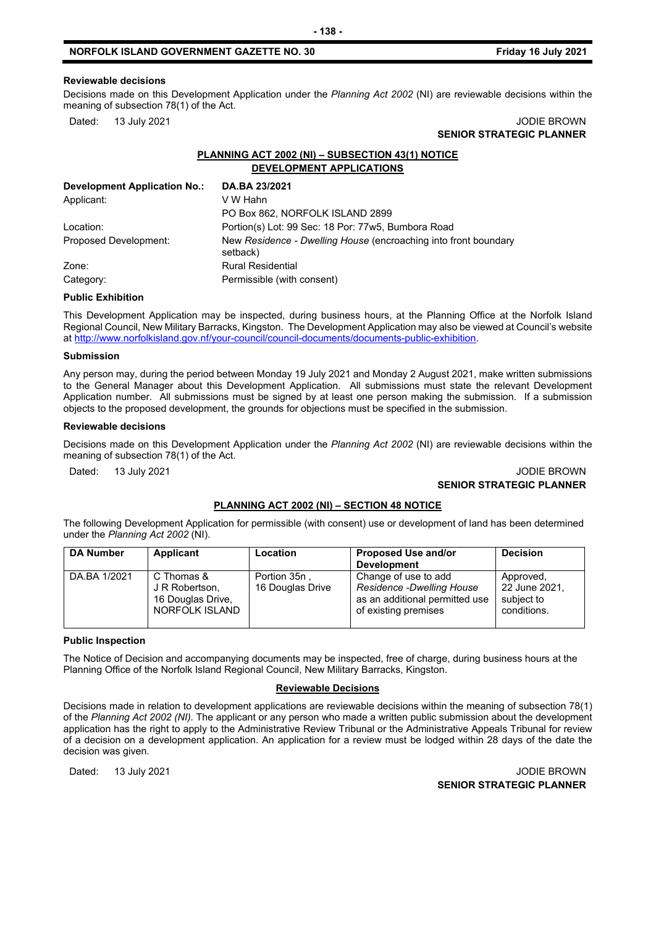# **NORFOLK ISLAND GOVERNMENT GAZETTE NO. 30 Friday 16 July 2021**

#### **Reviewable decisions**

Decisions made on this Development Application under the *Planning Act 2002* (NI) are reviewable decisions within the meaning of subsection 78(1) of the Act.

#### Dated: 13 July 2021 JODIE BROWN **SENIOR STRATEGIC PLANNER**

# **PLANNING ACT 2002 (NI) – SUBSECTION 43(1) NOTICE DEVELOPMENT APPLICATIONS**

| Development Application No.: | DA.BA 23/2021                                                               |
|------------------------------|-----------------------------------------------------------------------------|
| Applicant:                   | V W Hahn                                                                    |
|                              | PO Box 862, NORFOLK ISLAND 2899                                             |
| Location:                    | Portion(s) Lot: 99 Sec: 18 Por: 77w5, Bumbora Road                          |
| Proposed Development:        | New Residence - Dwelling House (encroaching into front boundary<br>setback) |
| Zone:                        | <b>Rural Residential</b>                                                    |
| Category:                    | Permissible (with consent)                                                  |

# **Public Exhibition**

This Development Application may be inspected, during business hours, at the Planning Office at the Norfolk Island Regional Council, New Military Barracks, Kingston. The Development Application may also be viewed at Council's website a[t http://www.norfolkisland.gov.nf/your-council/council-documents/documents-public-exhibition.](http://www.norfolkisland.gov.nf/your-council/council-documents/documents-public-exhibition) 

#### **Submission**

Any person may, during the period between Monday 19 July 2021 and Monday 2 August 2021, make written submissions to the General Manager about this Development Application. All submissions must state the relevant Development Application number. All submissions must be signed by at least one person making the submission. If a submission objects to the proposed development, the grounds for objections must be specified in the submission.

#### **Reviewable decisions**

Decisions made on this Development Application under the *Planning Act 2002* (NI) are reviewable decisions within the meaning of subsection 78(1) of the Act.

# Dated: 13 July 2021 **Dates: 13 July 2021 SENIOR STRATEGIC PLANNER**

#### **PLANNING ACT 2002 (NI) – SECTION 48 NOTICE**

The following Development Application for permissible (with consent) use or development of land has been determined under the *Planning Act 2002* (NI).

| <b>DA Number</b> | Applicant                                                           | Location                         | <b>Proposed Use and/or</b>                                                                                         | <b>Decision</b>                                         |
|------------------|---------------------------------------------------------------------|----------------------------------|--------------------------------------------------------------------------------------------------------------------|---------------------------------------------------------|
|                  |                                                                     |                                  | <b>Development</b>                                                                                                 |                                                         |
| DA.BA 1/2021     | C Thomas &<br>J R Robertson.<br>16 Douglas Drive,<br>NORFOLK ISLAND | Portion 35n,<br>16 Douglas Drive | Change of use to add<br><b>Residence -Dwelling House</b><br>as an additional permitted use<br>of existing premises | Approved,<br>22 June 2021,<br>subject to<br>conditions. |

#### **Public Inspection**

The Notice of Decision and accompanying documents may be inspected, free of charge, during business hours at the Planning Office of the Norfolk Island Regional Council, New Military Barracks, Kingston.

#### **Reviewable Decisions**

Decisions made in relation to development applications are reviewable decisions within the meaning of subsection 78(1) of the *Planning Act 2002 (NI).* The applicant or any person who made a written public submission about the development application has the right to apply to the Administrative Review Tribunal or the Administrative Appeals Tribunal for review of a decision on a development application. An application for a review must be lodged within 28 days of the date the decision was given.

Dated: 13 July 2021 JODIE BROWN **SENIOR STRATEGIC PLANNER**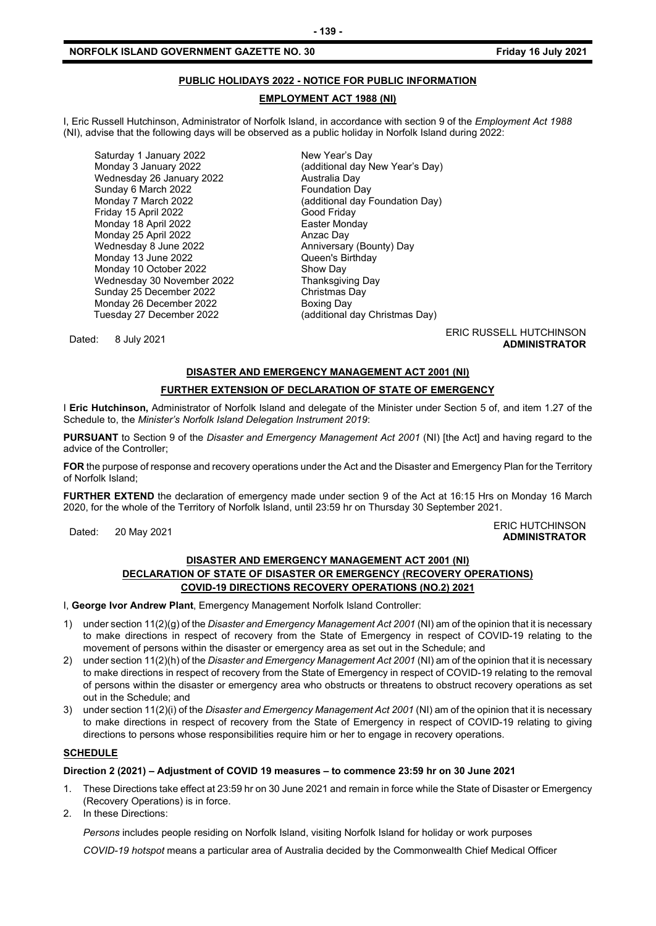# **NORFOLK ISLAND GOVERNMENT GAZETTE NO. 30 Friday 16 July 2021**

# **PUBLIC HOLIDAYS 2022 - NOTICE FOR PUBLIC INFORMATION**

# **EMPLOYMENT ACT 1988 (NI)**

I, Eric Russell Hutchinson, Administrator of Norfolk Island, in accordance with section 9 of the *Employment Act 1988* (NI), advise that the following days will be observed as a public holiday in Norfolk Island during 2022:

Saturday 1 January 2022 New Year's Day Wednesday 26 January 2022 Australia Day Sunday 6 March 2022<br>Monday 7 March 2022 Friday 15 April 2022 Good Friday Monday 18 April 2022 Easter Monday Monday 25 April 2022<br>Wednesday 8 June 2022 Monday 13 June 2022 Queen's Birthday Monday 10 October 2022 Wednesday 30 November 2022 Thanksgiving Day Sunday 25 December 2022 Christmas Day Monday 26 December 2022 Boxing Day Tuesday 27 December 2022 (additional day Christmas Day)

Monday 3 January 2022 (additional day New Year's Day) (additional day Foundation Day) Anniversary (Bounty) Day

ERIC RUSSELL HUTCHINSON<br>Dated: 8 July 2021 **ADMINISTRATOR**

#### **DISASTER AND EMERGENCY MANAGEMENT ACT 2001 (NI)**

#### **FURTHER EXTENSION OF DECLARATION OF STATE OF EMERGENCY**

I **Eric Hutchinson,** Administrator of Norfolk Island and delegate of the Minister under Section 5 of, and item 1.27 of the Schedule to, the *Minister's Norfolk Island Delegation Instrument 2019*:

**PURSUANT** to Section 9 of the *Disaster and Emergency Management Act 2001* (NI) [the Act] and having regard to the advice of the Controller;

**FOR** the purpose of response and recovery operations under the Act and the Disaster and Emergency Plan for the Territory of Norfolk Island;

**FURTHER EXTEND** the declaration of emergency made under section 9 of the Act at 16:15 Hrs on Monday 16 March 2020, for the whole of the Territory of Norfolk Island, until 23:59 hr on Thursday 30 September 2021.

#### Dated: 20 May 2021<br>Dated: 20 May 2021 **ADMINISTRATOR**

# **DISASTER AND EMERGENCY MANAGEMENT ACT 2001 (NI) DECLARATION OF STATE OF DISASTER OR EMERGENCY (RECOVERY OPERATIONS) COVID-19 DIRECTIONS RECOVERY OPERATIONS (NO.2) 2021**

I, **George Ivor Andrew Plant**, Emergency Management Norfolk Island Controller:

- 1) under section 11(2)(g) of the *Disaster and Emergency Management Act 2001* (NI) am of the opinion that it is necessary to make directions in respect of recovery from the State of Emergency in respect of COVID-19 relating to the movement of persons within the disaster or emergency area as set out in the Schedule; and
- 2) under section 11(2)(h) of the *Disaster and Emergency Management Act 2001* (NI) am of the opinion that it is necessary to make directions in respect of recovery from the State of Emergency in respect of COVID-19 relating to the removal of persons within the disaster or emergency area who obstructs or threatens to obstruct recovery operations as set out in the Schedule; and
- 3) under section 11(2)(i) of the *Disaster and Emergency Management Act 2001* (NI) am of the opinion that it is necessary to make directions in respect of recovery from the State of Emergency in respect of COVID-19 relating to giving directions to persons whose responsibilities require him or her to engage in recovery operations.

# **SCHEDULE**

#### **Direction 2 (2021) – Adjustment of COVID 19 measures – to commence 23:59 hr on 30 June 2021**

- 1. These Directions take effect at 23:59 hr on 30 June 2021 and remain in force while the State of Disaster or Emergency (Recovery Operations) is in force.
- 2. In these Directions:

*Persons* includes people residing on Norfolk Island, visiting Norfolk Island for holiday or work purposes

*COVID-19 hotspot* means a particular area of Australia decided by the Commonwealth Chief Medical Officer